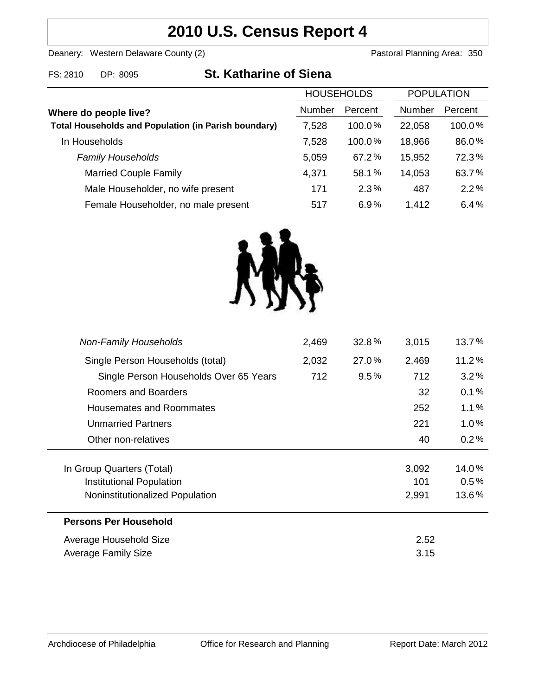# **2010 U.S. Census Report 4**

Deanery: Western Delaware County (2) Deanery: Western Delaware County (2)

FS: 2810 DP: 8095 **St. Katharine of Siena**

|                                                             | <b>HOUSEHOLDS</b> |           | <b>POPULATION</b> |         |
|-------------------------------------------------------------|-------------------|-----------|-------------------|---------|
| Where do people live?                                       | <b>Number</b>     | Percent   | <b>Number</b>     | Percent |
| <b>Total Households and Population (in Parish boundary)</b> | 7,528             | $100.0\%$ | 22,058            | 100.0%  |
| In Households                                               | 7,528             | 100.0%    | 18,966            | 86.0%   |
| <b>Family Households</b>                                    | 5,059             | 67.2%     | 15,952            | 72.3%   |
| <b>Married Couple Family</b>                                | 4,371             | 58.1%     | 14,053            | 63.7%   |
| Male Householder, no wife present                           | 171               | 2.3%      | 487               | 2.2%    |
| Female Householder, no male present                         | 517               | 6.9%      | 1,412             | 6.4%    |



| <b>Non-Family Households</b>           | 2,469 | 32.8%   | 3,015 | 13.7%    |
|----------------------------------------|-------|---------|-------|----------|
| Single Person Households (total)       | 2,032 | 27.0%   | 2,469 | $11.2\%$ |
| Single Person Households Over 65 Years | 712   | $9.5\%$ | 712   | 3.2%     |
| Roomers and Boarders                   |       |         | 32    | 0.1%     |
| <b>Housemates and Roommates</b>        |       |         | 252   | 1.1%     |
| Unmarried Partners                     |       |         | 221   | $1.0\%$  |
| Other non-relatives                    |       |         | 40    | 0.2%     |
|                                        |       |         |       |          |
| In Group Quarters (Total)              |       |         | 3,092 | 14.0%    |
| Institutional Population               |       |         | 101   | 0.5%     |
| Noninstitutionalized Population        |       |         | 2,991 | 13.6%    |
| <b>Persons Per Household</b>           |       |         |       |          |
| Average Household Size                 | 2.52  |         |       |          |
| <b>Average Family Size</b>             | 3.15  |         |       |          |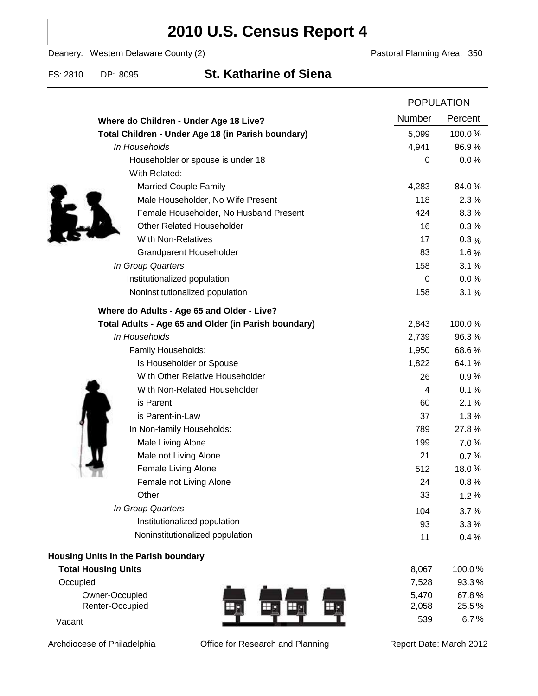# **2010 U.S. Census Report 4**

Deanery: Western Delaware County (2) Deanery: Western Delaware County (2)

### FS: 2810 DP: 8095 **St. Katharine of Siena**

|                                                      | <b>POPULATION</b> |         |
|------------------------------------------------------|-------------------|---------|
| Where do Children - Under Age 18 Live?               | Number            | Percent |
| Total Children - Under Age 18 (in Parish boundary)   | 5,099             | 100.0%  |
| In Households                                        | 4,941             | 96.9%   |
| Householder or spouse is under 18                    | 0                 | 0.0%    |
| With Related:                                        |                   |         |
| Married-Couple Family                                | 4,283             | 84.0%   |
| Male Householder, No Wife Present                    | 118               | 2.3%    |
| Female Householder, No Husband Present               | 424               | 8.3%    |
| <b>Other Related Householder</b>                     | 16                | 0.3%    |
| <b>With Non-Relatives</b>                            | 17                | $0.3\%$ |
| <b>Grandparent Householder</b>                       | 83                | 1.6%    |
| In Group Quarters                                    | 158               | 3.1%    |
| Institutionalized population                         | 0                 | 0.0%    |
| Noninstitutionalized population                      | 158               | 3.1%    |
| Where do Adults - Age 65 and Older - Live?           |                   |         |
| Total Adults - Age 65 and Older (in Parish boundary) | 2,843             | 100.0%  |
| In Households                                        | 2,739             | 96.3%   |
| Family Households:                                   | 1,950             | 68.6%   |
| Is Householder or Spouse                             | 1,822             | 64.1%   |
| With Other Relative Householder                      | 26                | 0.9%    |
| With Non-Related Householder                         | 4                 | 0.1%    |
| is Parent                                            | 60                | 2.1%    |
| is Parent-in-Law                                     | 37                | 1.3%    |
| In Non-family Households:                            | 789               | 27.8%   |
| Male Living Alone                                    | 199               | 7.0%    |
| Male not Living Alone                                | 21                | 0.7%    |
| Female Living Alone                                  | 512               | 18.0%   |
| Female not Living Alone                              | 24                | 0.8%    |
| Other                                                | 33                | 1.2%    |
| In Group Quarters                                    | 104               | 3.7%    |
| Institutionalized population                         | 93                | 3.3%    |
| Noninstitutionalized population                      | 11                | 0.4%    |
| Housing Units in the Parish boundary                 |                   |         |
| <b>Total Housing Units</b>                           | 8,067             | 100.0%  |
| Occupied                                             | 7,528             | 93.3%   |
| Owner-Occupied                                       | 5,470             | 67.8%   |
| Renter-Occupied<br>Ð                                 | 2,058             | 25.5%   |
| Vacant                                               | 539               | 6.7%    |

Archdiocese of Philadelphia **Office for Research and Planning** Report Date: March 2012